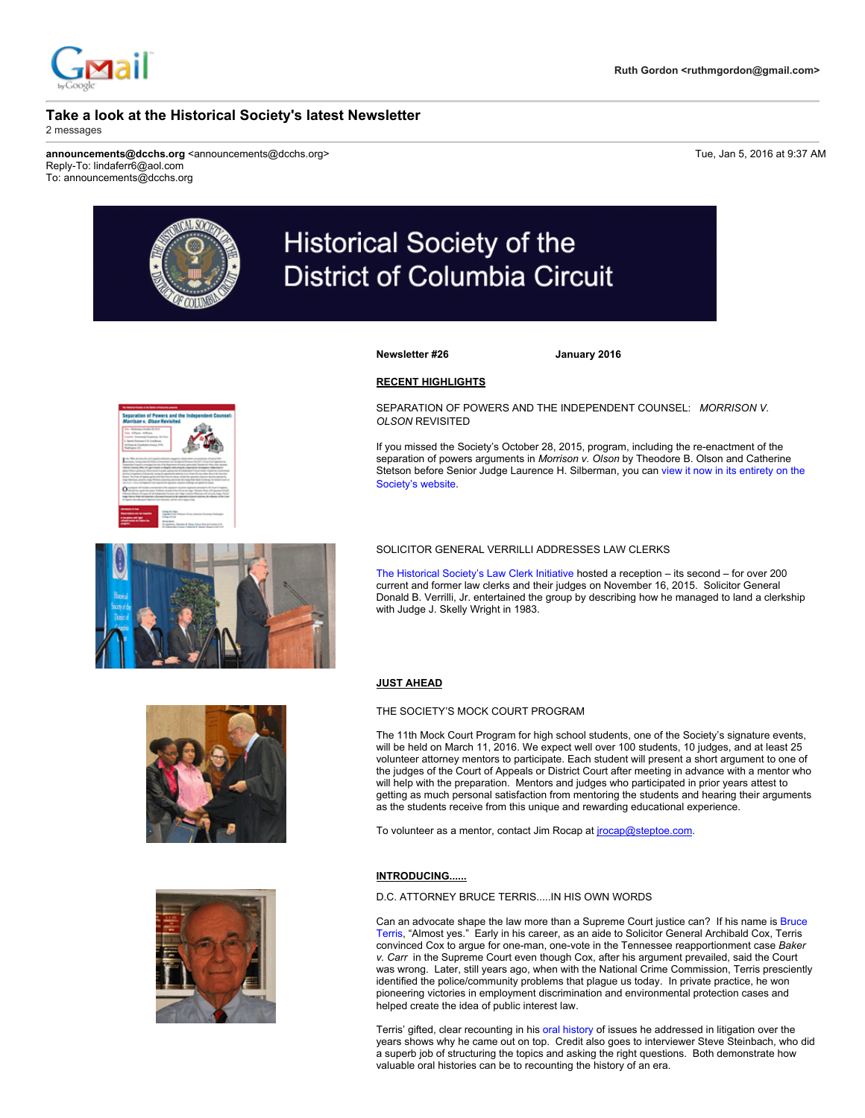

# **Historical Society of the District of Columbia Circuit**

**Newsletter #26 January 2016**

# **RECENT HIGHLIGHTS**

SEPARATION OF POWERS AND THE INDEPENDENT COUNSEL: *MORRISON V. OLSON* REVISITED

If you missed the Society's October 28, 2015, program, including the re-enactment of the separation of powers arguments in *Morrison v. Olson* by Theodore B. Olson and Catherine Stetson before Senior Judge Laurence H. Silberman, you can view it now in its entirety on the Society's website.



## SOLICITOR GENERAL VERRILLI ADDRESSES LAW CLERKS

The Historical Society's Law Clerk Initiative hosted a reception – its second – for over 200 current and former law clerks and their judges on November 16, 2015. Solicitor General Donald B. Verrilli, Jr. entertained the group by describing how he managed to land a clerkship with Judge J. Skelly Wright in 1983.

## **JUST AHEAD**

#### THE SOCIETY'S MOCK COURT PROGRAM

The 11th Mock Court Program for high school students, one of the Society's signature events, will be held on March 11, 2016. We expect well over 100 students, 10 judges, and at least 25 volunteer attorney mentors to participate. Each student will present a short argument to one of the judges of the Court of Appeals or District Court after meeting in advance with a mentor who will help with the preparation. Mentors and judges who participated in prior years attest to getting as much personal satisfaction from mentoring the students and hearing their arguments as the students receive from this unique and rewarding educational experience.

To volunteer as a mentor, contact Jim Rocap at jrocap@steptoe.com.

# **INTRODUCING......**

D.C. ATTORNEY BRUCE TERRIS.....IN HIS OWN WORDS

Can an advocate shape the law more than a Supreme Court justice can? If his name is Bruce Terris, "Almost yes." Early in his career, as an aide to Solicitor General Archibald Cox, Terris convinced Cox to argue for one-man, one-vote in the Tennessee reapportionment case *Baker v. Carr* in the Supreme Court even though Cox, after his argument prevailed, said the Court was wrong. Later, still years ago, when with the National Crime Commission, Terris presciently identified the police/community problems that plague us today. In private practice, he won pioneering victories in employment discrimination and environmental protection cases and helped create the idea of public interest law.

Terris' gifted, clear recounting in his oral history of issues he addressed in litigation over the years shows why he came out on top. Credit also goes to interviewer Steve Steinbach, who did a superb job of structuring the topics and asking the right questions. Both demonstrate how valuable oral histories can be to recounting the history of an era.



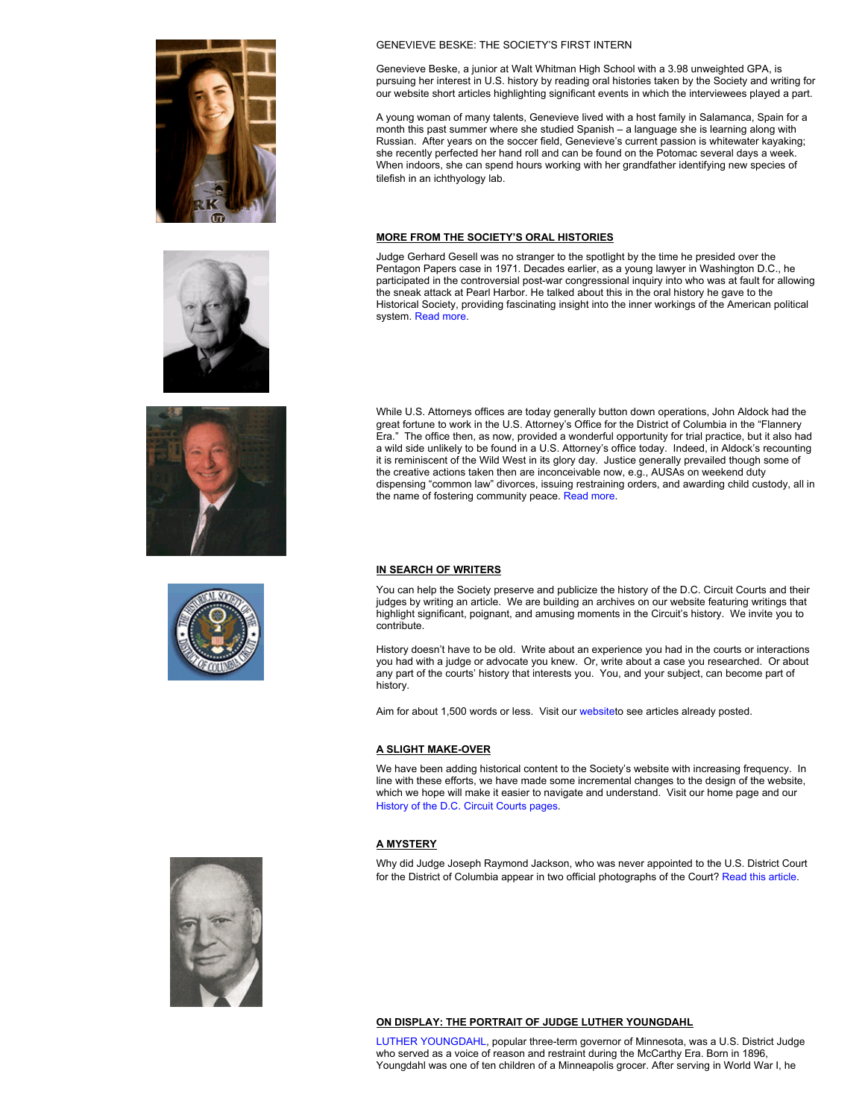







# GENEVIEVE BESKE: THE SOCIETY'S FIRST INTERN

Genevieve Beske, a junior at Walt Whitman High School with a 3.98 unweighted GPA, is pursuing her interest in U.S. history by reading oral histories taken by the Society and writing for our website short articles highlighting significant events in which the interviewees played a part.

A young woman of many talents, Genevieve lived with a host family in Salamanca, Spain for a month this past summer where she studied Spanish – a language she is learning along with Russian. After years on the soccer field, Genevieve's current passion is whitewater kayaking; she recently perfected her hand roll and can be found on the Potomac several days a week. When indoors, she can spend hours working with her grandfather identifying new species of tilefish in an ichthyology lab.

# **MORE FROM THE SOCIETY'S ORAL HISTORIES**

Judge Gerhard Gesell was no stranger to the spotlight by the time he presided over the Pentagon Papers case in 1971. Decades earlier, as a young lawyer in Washington D.C., he participated in the controversial post-war congressional inquiry into who was at fault for allowing the sneak attack at Pearl Harbor. He talked about this in the oral history he gave to the Historical Society, providing fascinating insight into the inner workings of the American political system. Read more.

While U.S. Attorneys offices are today generally button down operations, John Aldock had the great fortune to work in the U.S. Attorney's Office for the District of Columbia in the "Flannery Era." The office then, as now, provided a wonderful opportunity for trial practice, but it also had a wild side unlikely to be found in a U.S. Attorney's office today. Indeed, in Aldock's recounting it is reminiscent of the Wild West in its glory day. Justice generally prevailed though some of the creative actions taken then are inconceivable now, e.g., AUSAs on weekend duty dispensing "common law" divorces, issuing restraining orders, and awarding child custody, all in the name of fostering community peace. Read more.

#### **IN SEARCH OF WRITERS**

You can help the Society preserve and publicize the history of the D.C. Circuit Courts and their judges by writing an article. We are building an archives on our website featuring writings that highlight significant, poignant, and amusing moments in the Circuit's history. We invite you to contribute.

History doesn't have to be old. Write about an experience you had in the courts or interactions you had with a judge or advocate you knew. Or, write about a case you researched. Or about any part of the courts' history that interests you. You, and your subject, can become part of history.

Aim for about 1,500 words or less. Visit our websiteto see articles already posted.

## **A** SLIGHT MAKE-OVER

We have been adding historical content to the Society's website with increasing frequency. In line with these efforts, we have made some incremental changes to the design of the website, which we hope will make it easier to navigate and understand. Visit our home page and our History of the D.C. Circuit Courts pages.

## **A MYSTERY**

Why did Judge Joseph Raymond Jackson, who was never appointed to the U.S. District Court for the District of Columbia appear in two official photographs of the Court? Read this article.



# **ON DISPLAY: THE PORTRAIT OF JUDGE LUTHER YOUNGDAHL**

LUTHER YOUNGDAHL, popular three-term governor of Minnesota, was a U.S. District Judge who served as a voice of reason and restraint during the McCarthy Era. Born in 1896, Youngdahl was one of ten children of a Minneapolis grocer. After serving in World War I, he